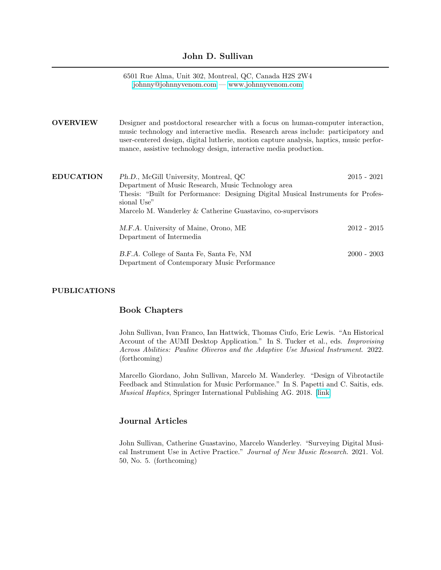## John D. Sullivan

6501 Rue Alma, Unit 302, Montreal, QC, Canada H2S 2W4 [johnny@johnnyvenom.com](mailto:john.sullivan2@mail.mcgill.ca) — [www.johnnyvenom.com](https://www.johnnyvenom.com)

| <b>OVERVIEW</b>  | Designer and postdoctoral researcher with a focus on human-computer interaction,<br>music technology and interactive media. Research areas include: participatory and<br>user-centered design, digital lutherie, motion capture analysis, haptics, music perfor-<br>mance, assistive technology design, interactive media production. |               |
|------------------|---------------------------------------------------------------------------------------------------------------------------------------------------------------------------------------------------------------------------------------------------------------------------------------------------------------------------------------|---------------|
| <b>EDUCATION</b> | Ph.D., McGill University, Montreal, QC<br>Department of Music Research, Music Technology area<br>Thesis: "Built for Performance: Designing Digital Musical Instruments for Profes-<br>sional Use"<br>Marcelo M. Wanderley & Catherine Guastavino, co-supervisors                                                                      | 2015 - 2021   |
|                  | M.F.A. University of Maine, Orono, ME<br>Department of Intermedia                                                                                                                                                                                                                                                                     | $2012 - 2015$ |
|                  | B.F.A. College of Santa Fe, Santa Fe, NM<br>Department of Contemporary Music Performance                                                                                                                                                                                                                                              | $2000 - 2003$ |

## PUBLICATIONS

# Book Chapters

John Sullivan, Ivan Franco, Ian Hattwick, Thomas Ciufo, Eric Lewis. "An Historical Account of the AUMI Desktop Application." In S. Tucker et al., eds. Improvising Across Abilities: Pauline Oliveros and the Adaptive Use Musical Instrument. 2022. (forthcoming)

Marcello Giordano, John Sullivan, Marcelo M. Wanderley. "Design of Vibrotactile Feedback and Stimulation for Music Performance." In S. Papetti and C. Saitis, eds. Musical Haptics, Springer International Publishing AG. 2018. [\[link\]](https://link.springer.com/content/pdf/10.1007%2F978-3-319-58316-7_10.pdf)

# Journal Articles

John Sullivan, Catherine Guastavino, Marcelo Wanderley. "Surveying Digital Musical Instrument Use in Active Practice." Journal of New Music Research. 2021. Vol. 50, No. 5. (forthcoming)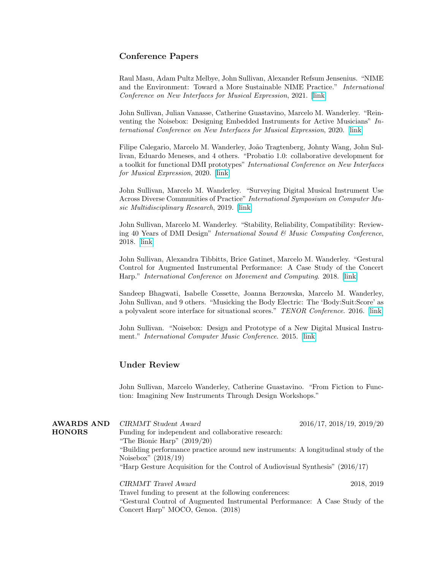## Conference Papers

Raul Masu, Adam Pultz Melbye, John Sullivan, Alexander Refsum Jensenius. "NIME and the Environment: Toward a More Sustainable NIME Practice." International Conference on New Interfaces for Musical Expression, 2021. [\[link\]](https://nime.pubpub.org/pub/4bbl5lod/draft?access=3zt8hseo)

John Sullivan, Julian Vanasse, Catherine Guastavino, Marcelo M. Wanderley. "Reinventing the Noisebox: Designing Embedded Instruments for Active Musicians" International Conference on New Interfaces for Musical Expression, 2020. [\[link\]](https://www.nime.org/proceedings/2020/nime2020_paper1.pdf)

Filipe Calegario, Marcelo M. Wanderley, João Tragtenberg, Johnty Wang, John Sullivan, Eduardo Meneses, and 4 others. "Probatio 1.0: collaborative development for a toolkit for functional DMI prototypes" International Conference on New Interfaces for Musical Expression, 2020. [\[link\]](https://www.nime.org/proceedings/2020/nime2020_paper54.pdf)

John Sullivan, Marcelo M. Wanderley. "Surveying Digital Musical Instrument Use Across Diverse Communities of Practice" International Symposium on Computer Music Multidisciplinary Research, 2019. [\[link\]](http://idmil.org/wp-content/uploads/2017/03/cmmr2019_sullivan_surveying_dmi_use.pdf)

John Sullivan, Marcelo M. Wanderley. "Stability, Reliability, Compatibility: Reviewing 40 Years of DMI Design" International Sound & Music Computing Conference, 2018. [\[link\]](http://idmil.org/wp-content/uploads/2017/03/Sullivan-Wanderley-2018-Stability-Reliability-Compatibility-Reviewing-40-Years-of-DMI-Design.pdf)

John Sullivan, Alexandra Tibbitts, Brice Gatinet, Marcelo M. Wanderley. "Gestural Control for Augmented Instrumental Performance: A Case Study of the Concert Harp." International Conference on Movement and Computing. 2018. [\[link\]](http://idmil.org/wp-content/uploads/2017/03/Sullivan-et-al.-2018-Gestural-Control-of-Augmented-Instrumental-Performance.pdf)

Sandeep Bhagwati, Isabelle Cossette, Joanna Berzowska, Marcelo M. Wanderley, John Sullivan, and 9 others. "Musicking the Body Electric: The 'Body:Suit:Score' as a polyvalent score interface for situational scores." TENOR Conference. 2016. [\[link\]](http://idmil.org/wp-content/uploads/2017/03/bhagwati-et-al-bodySuitScore.pdf)

John Sullivan. "Noisebox: Design and Prototype of a New Digital Musical Instrument." International Computer Music Conference. 2015. [\[link\]](http://idmil.org/wp-content/uploads/2017/03/sullivan-icmc2015.pdf)

## Under Review

John Sullivan, Marcelo Wanderley, Catherine Guastavino. "From Fiction to Function: Imagining New Instruments Through Design Workshops."

| <b>AWARDS AND</b> | CIRMMT Student Award                                                               | $2016/17$ , $2018/19$ , $2019/20$ |
|-------------------|------------------------------------------------------------------------------------|-----------------------------------|
| <b>HONORS</b>     | Funding for independent and collaborative research:                                |                                   |
|                   | "The Bionic Harp" $(2019/20)$                                                      |                                   |
|                   | "Building performance practice around new instruments: A longitudinal study of the |                                   |
|                   | Noisebox" $(2018/19)$                                                              |                                   |
|                   | "Harp Gesture Acquisition for the Control of Audiovisual Synthesis" $(2016/17)$    |                                   |
|                   | CIRMMT Travel Award                                                                | 2018, 2019                        |
|                   | Travel funding to present at the following conferences:                            |                                   |
|                   | "Costured Control of Augmented Instrumental Deptermaneou A Case Study of the       |                                   |

"Gestural Control of Augmented Instrumental Performance: A Case Study of the Concert Harp" MOCO, Genoa. (2018)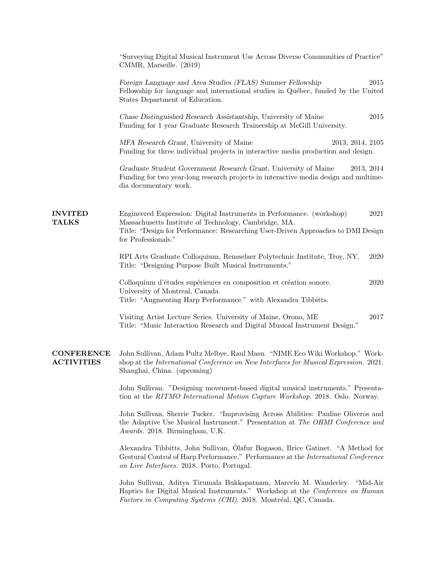|                                        | "Surveying Digital Musical Instrument Use Across Diverse Communities of Practice"<br>CMMR, Marseille. (2019)                                                                                                                                      |  |
|----------------------------------------|---------------------------------------------------------------------------------------------------------------------------------------------------------------------------------------------------------------------------------------------------|--|
|                                        | Foreign Language and Area Studies (FLAS) Summer Fellowship<br>2015<br>Fellowship for language and international studies in Québec, funded by the United<br>States Department of Education.                                                        |  |
|                                        | Chase Distinguished Research Assistantship, University of Maine<br>2015<br>Funding for 1 year Graduate Research Traineeship at McGill University.                                                                                                 |  |
|                                        | MFA Research Grant, University of Maine<br>2013, 2014, 2105<br>Funding for three individual projects in interactive media production and design.                                                                                                  |  |
|                                        | Graduate Student Government Research Grant, University of Maine<br>2013, 2014<br>Funding for two year-long research projects in interactive media design and multime-<br>dia documentary work.                                                    |  |
| <b>INVITED</b><br><b>TALKS</b>         | Engineered Expression: Digital Instruments in Performance. (workshop)<br>2021<br>Massachusetts Institute of Technology, Cambridge, MA.<br>Title: "Design for Performance: Researching User-Driven Approaches to DMI Design<br>for Professionals." |  |
|                                        | RPI Arts Graduate Colloquium, Rensselaer Polytechnic Institute, Troy, NY.<br>2020<br>Title: "Designing Purpose Built Musical Instruments."                                                                                                        |  |
|                                        | Colloquium d'études supérieures en composition et création sonore.<br>2020<br>University of Montreal, Canada.<br>Title: "Augmenting Harp Performance." with Alexandra Tibbitts.                                                                   |  |
|                                        | Visiting Artist Lecture Series. University of Maine, Orono, ME<br>2017<br>Title: "Music Interaction Research and Digital Musical Instrument Design."                                                                                              |  |
| <b>CONFERENCE</b><br><b>ACTIVITIES</b> | John Sullivan, Adam Pultz Melbye, Raul Masu. "NIME Eco Wiki Workshop." Work-<br>shop at the International Conference on New Interfaces for Musical Expression. 2021.<br>Shanghai, China. (upcoming)                                               |  |
|                                        | John Sullivan. "Designing movement-based digital musical instruments." Presenta-<br>tion at the RITMO International Motion Capture Workshop. 2018. Oslo. Norway.                                                                                  |  |
|                                        | John Sullivan, Sherrie Tucker. "Improvising Across Abilities: Pauline Oliveros and<br>the Adaptive Use Musical Instrument." Presentation at The OHMI Conference and<br>Awards. 2018. Birmingham, U.K.                                             |  |
|                                        | Alexandra Tibbitts, John Sullivan, Ólafur Bogason, Brice Gatinet. "A Method for<br>Gestural Control of Harp Performance." Performance at the International Conference<br>on Live Interfaces. 2018. Porto, Portugal.                               |  |
|                                        | John Sullivan, Aditya Tirumala Bukkapatnam, Marcelo M. Wanderley. "Mid-Air<br>Haptics for Digital Musical Instruments." Workshop at the Conference on Human<br>Factors in Computing Systems (CHI). 2018. Montréal, QC, Canada.                    |  |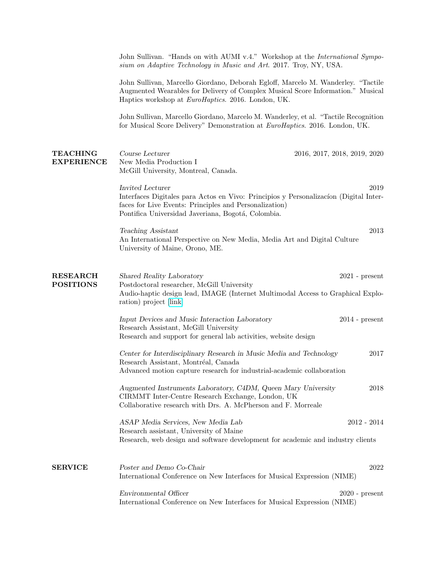|                                      | John Sullivan. "Hands on with AUMI v.4." Workshop at the International Sympo-<br>sium on Adaptive Technology in Music and Art. 2017. Troy, NY, USA.                                                                               |
|--------------------------------------|-----------------------------------------------------------------------------------------------------------------------------------------------------------------------------------------------------------------------------------|
|                                      | John Sullivan, Marcello Giordano, Deborah Egloff, Marcelo M. Wanderley. "Tactile<br>Augmented Wearables for Delivery of Complex Musical Score Information." Musical<br>Haptics workshop at <i>EuroHaptics</i> . 2016. London, UK. |
|                                      | John Sullivan, Marcello Giordano, Marcelo M. Wanderley, et al. "Tactile Recognition<br>for Musical Score Delivery" Demonstration at EuroHaptics. 2016. London, UK.                                                                |
| <b>TEACHING</b><br><b>EXPERIENCE</b> | Course Lecturer<br>2016, 2017, 2018, 2019, 2020<br>New Media Production I<br>McGill University, Montreal, Canada.                                                                                                                 |
|                                      | Invited Lecturer<br>2019<br>Interfaces Digitales para Actos en Vivo: Principios y Personalización (Digital Inter-<br>faces for Live Events: Principles and Personalization)<br>Pontifica Universidad Javeriana, Bogotá, Colombia. |
|                                      | 2013<br>Teaching Assistant<br>An International Perspective on New Media, Media Art and Digital Culture<br>University of Maine, Orono, ME.                                                                                         |
| <b>RESEARCH</b><br><b>POSITIONS</b>  | Shared Reality Laboratory<br>$2021$ - present<br>Postdoctoral researcher, McGill University<br>Audio-haptic design lead, IMAGE (Internet Multimodal Access to Graphical Explo-<br>ration) project [link]                          |
|                                      | Input Devices and Music Interaction Laboratory<br>$2014$ - present<br>Research Assistant, McGill University<br>Research and support for general lab activities, website design                                                    |
|                                      | Center for Interdisciplinary Research in Music Media and Technology<br>2017<br>Research Assistant, Montréal, Canada<br>Advanced motion capture research for industrial-academic collaboration                                     |
|                                      | Augmented Instruments Laboratory, C4DM, Queen Mary University<br>2018<br>CIRMMT Inter-Centre Research Exchange, London, UK<br>Collaborative research with Drs. A. McPherson and F. Morreale                                       |
|                                      | ASAP Media Services, New Media Lab<br>$2012 - 2014$<br>Research assistant, University of Maine<br>Research, web design and software development for academic and industry clients                                                 |
| <b>SERVICE</b>                       | Poster and Demo Co-Chair<br>2022<br>International Conference on New Interfaces for Musical Expression (NIME)                                                                                                                      |
|                                      | Environmental Officer<br>$2020$ - present<br>International Conference on New Interfaces for Musical Expression (NIME)                                                                                                             |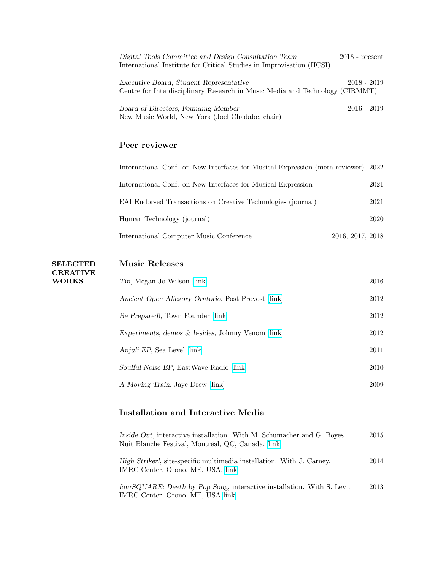| Digital Tools Committee and Design Consultation Team                         | $2018$ - present |
|------------------------------------------------------------------------------|------------------|
| International Institute for Critical Studies in Improvisation (IICSI)        |                  |
|                                                                              |                  |
| Executive Board, Student Representative                                      | $2018 - 2019$    |
| Centre for Interdisciplinary Research in Music Media and Technology (CIRMMT) |                  |
|                                                                              |                  |
| Board of Directors, Founding Member                                          | $2016 - 2019$    |
| New Music World, New York (Joel Chadabe, chair)                              |                  |

# Peer reviewer

| International Conf. on New Interfaces for Musical Expression (meta-reviewer) 2022 |                  |
|-----------------------------------------------------------------------------------|------------------|
| International Conf. on New Interfaces for Musical Expression                      | 2021             |
| EAI Endorsed Transactions on Creative Technologies (journal)                      | 2021             |
| Human Technology (journal)                                                        | 2020             |
| International Computer Music Conference                                           | 2016, 2017, 2018 |

#### SELECTED Music Releases

CREATIVE WORKS

| Tin, Megan Jo Wilson [link]                          | 2016 |
|------------------------------------------------------|------|
| Ancient Open Allegory Oratorio, Post Provost [link]  | 2012 |
| Be Prepared!, Town Founder  link                     | 2012 |
| Experiments, demos $\&$ b-sides, Johnny Venom [link] | 2012 |
| Anjuli EP, Sea Level  link                           | 2011 |
| Soulful Noise EP, EastWave Radio [link]              | 2010 |
| A Moving Train, Jaye Drew [link]                     | 2009 |

# Installation and Interactive Media

| Inside Out, interactive installation. With M. Schumacher and G. Boyes.<br>Nuit Blanche Festival, Montréal, QC, Canada. link | 2015 |
|-----------------------------------------------------------------------------------------------------------------------------|------|
| High Striker!, site-specific multimedia installation. With J. Carney.<br>IMRC Center, Orono, ME, USA. link                  | 2014 |
| four SQUARE: Death by Pop Song, interactive installation. With S. Levi.<br>IMRC Center, Orono, ME, USA link                 | 2013 |